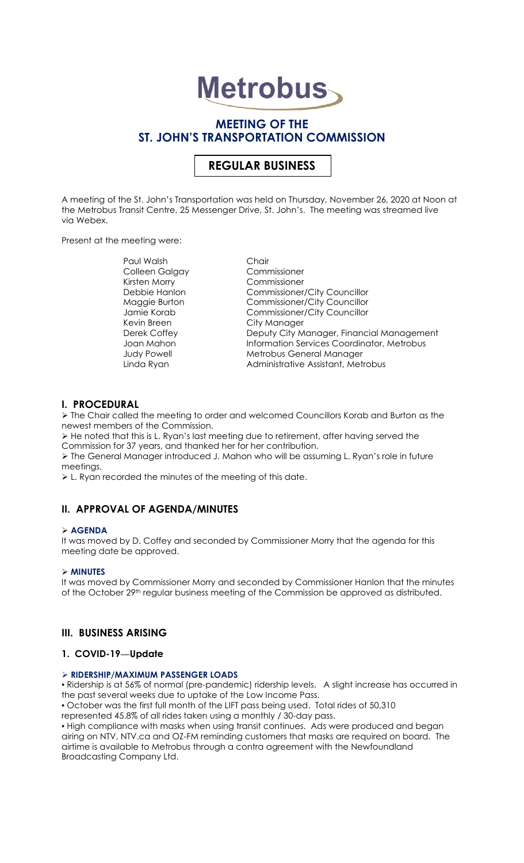# **Metrobus**

# **MEETING OF THE ST. JOHN'S TRANSPORTATION COMMISSION**

# **REGULAR BUSINESS**

A meeting of the St. John's Transportation was held on Thursday, November 26, 2020 at Noon at the Metrobus Transit Centre, 25 Messenger Drive, St. John's. The meeting was streamed live via Webex.

Present at the meeting were:

Paul Walsh Chair<br>Colleen Galgay Commissioner Colleen Galgay Kirsten Morry Commissioner Kevin Breen City Manager

Debbie Hanlon Commissioner/City Councillor Maggie Burton Commissioner/City Councillor Jamie Korab Commissioner/City Councillor Derek Coffey **Deputy City Manager, Financial Management** Joan Mahon **Information Services Coordinator**, Metrobus Judy Powell Metrobus General Manager Linda Ryan **Administrative Assistant, Metrobus** 

# **I. PROCEDURAL**

➢ The Chair called the meeting to order and welcomed Councillors Korab and Burton as the newest members of the Commission.

➢ He noted that this is L. Ryan's last meeting due to retirement, after having served the Commission for 37 years, and thanked her for her contribution.

➢ The General Manager introduced J. Mahon who will be assuming L. Ryan's role in future meetings.

➢ L. Ryan recorded the minutes of the meeting of this date.

# **II. APPROVAL OF AGENDA/MINUTES**

#### ➢ **AGENDA**

It was moved by D. Coffey and seconded by Commissioner Morry that the agenda for this meeting date be approved.

#### ➢ **MINUTES**

It was moved by Commissioner Morry and seconded by Commissioner Hanlon that the minutes of the October 29<sup>th</sup> regular business meeting of the Commission be approved as distributed.

# **III. BUSINESS ARISING**

# **1. COVID-19—Update**

#### ➢ **RIDERSHIP/MAXIMUM PASSENGER LOADS**

▪ Ridership is at 56% of normal (pre-pandemic) ridership levels. A slight increase has occurred in the past several weeks due to uptake of the Low Income Pass.

▪ October was the first full month of the LIFT pass being used. Total rides of 50,310

represented 45.8% of all rides taken using a monthly / 30-day pass.

. High compliance with masks when using transit continues. Ads were produced and began airing on NTV, [NTV.ca](http://ntv.ca/) and OZ-FM reminding customers that masks are required on board. The airtime is available to Metrobus through a contra agreement with the Newfoundland Broadcasting Company Ltd.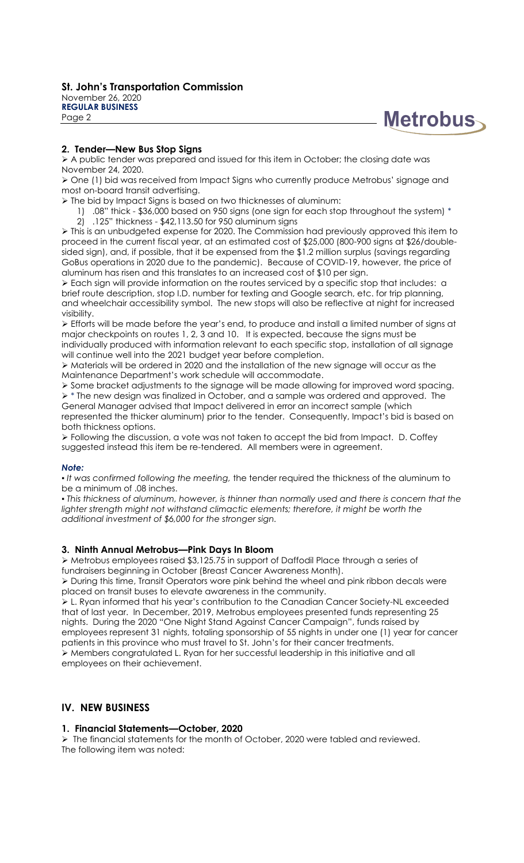**Metrobus** 

# **2. Tender—New Bus Stop Signs**

➢ A public tender was prepared and issued for this item in October; the closing date was November 24, 2020.

➢ One (1) bid was received from Impact Signs who currently produce Metrobus' signage and most on-board transit advertising.

- ➢ The bid by Impact Signs is based on two thicknesses of aluminum:
	- 1) .08" thick \$36,000 based on 950 signs (one sign for each stop throughout the system) \*
	- 2) .125" thickness \$42,113.50 for 950 aluminum signs

➢ This is an unbudgeted expense for 2020. The Commission had previously approved this item to proceed in the current fiscal year, at an estimated cost of \$25,000 (800-900 signs at \$26/doublesided sign), and, if possible, that it be expensed from the \$1.2 million surplus (savings regarding GoBus operations in 2020 due to the pandemic). Because of COVID-19, however, the price of aluminum has risen and this translates to an increased cost of \$10 per sign.

➢ Each sign will provide information on the routes serviced by a specific stop that includes: a brief route description, stop I.D. number for texting and Google search, etc. for trip planning, and wheelchair accessibility symbol. The new stops will also be reflective at night for increased visibility.

➢ Efforts will be made before the year's end, to produce and install a limited number of signs at major checkpoints on routes 1, 2, 3 and 10. It is expected, because the signs must be individually produced with information relevant to each specific stop, installation of all signage will continue well into the 2021 budget year before completion.

➢ Materials will be ordered in 2020 and the installation of the new signage will occur as the Maintenance Department's work schedule will accommodate.

➢ Some bracket adjustments to the signage will be made allowing for improved word spacing. ➢ \* The new design was finalized in October, and a sample was ordered and approved. The General Manager advised that Impact delivered in error an incorrect sample (which represented the thicker aluminum) prior to the tender. Consequently, Impact's bid is based on

both thickness options. ➢ Following the discussion, a vote was not taken to accept the bid from Impact. D. Coffey suggested instead this item be re-tendered. All members were in agreement.

#### *Note:*

*▪ It was confirmed following the meeting,* the tender required the thickness of the aluminum to be a minimum of .08 inches.

▪ *This thickness of aluminum, however, is thinner than normally used and there is concern that the lighter strength might not withstand climactic elements; therefore, it might be worth the additional investment of \$6,000 for the stronger sign.*

# **3. Ninth Annual Metrobus—Pink Days In Bloom**

➢ Metrobus employees raised \$3,125.75 in support of Daffodil Place through a series of fundraisers beginning in October (Breast Cancer Awareness Month).

➢ During this time, Transit Operators wore pink behind the wheel and pink ribbon decals were placed on transit buses to elevate awareness in the community.

➢ L. Ryan informed that his year's contribution to the Canadian Cancer Society-NL exceeded that of last year. In December, 2019, Metrobus employees presented funds representing 25 nights. During the 2020 "One Night Stand Against Cancer Campaign", funds raised by employees represent 31 nights, totaling sponsorship of 55 nights in under one (1) year for cancer patients in this province who must travel to St. John's for their cancer treatments. ➢ Members congratulated L. Ryan for her successful leadership in this initiative and all employees on their achievement.

# **IV. NEW BUSINESS**

# **1. Financial Statements—October, 2020**

➢ The financial statements for the month of October, 2020 were tabled and reviewed. The following item was noted: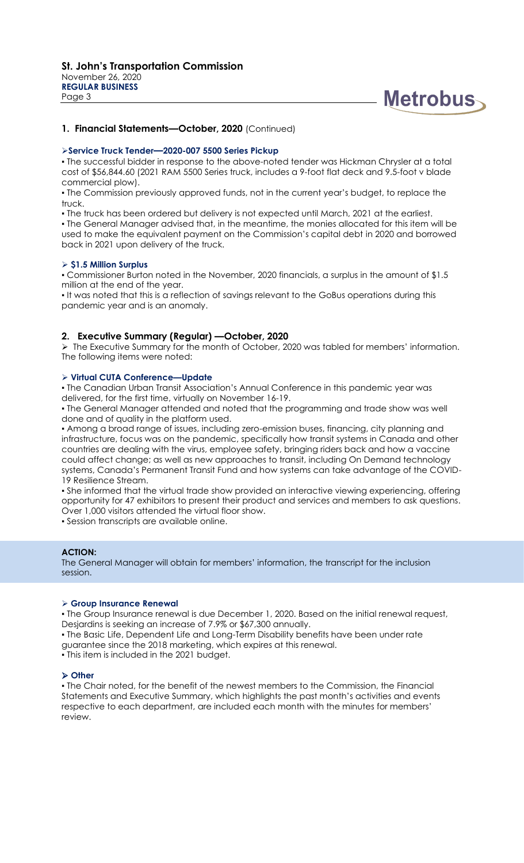

#### **1. Financial Statements—October, 2020** (Continued)

#### ➢**Service Truck Tender—2020-007 5500 Series Pickup**

▪ The successful bidder in response to the above-noted tender was Hickman Chrysler at a total cost of \$56,844.60 (2021 RAM 5500 Series truck, includes a 9-foot flat deck and 9.5-foot v blade commercial plow).

▪ The Commission previously approved funds, not in the current year's budget, to replace the truck.

. The truck has been ordered but delivery is not expected until March, 2021 at the earliest.

. The General Manager advised that, in the meantime, the monies allocated for this item will be used to make the equivalent payment on the Commission's capital debt in 2020 and borrowed back in 2021 upon delivery of the truck.

#### ➢ **\$1.5 Million Surplus**

▪ Commissioner Burton noted in the November, 2020 financials, a surplus in the amount of \$1.5 million at the end of the year.

. It was noted that this is a reflection of savings relevant to the GoBus operations during this pandemic year and is an anomaly.

#### **2. Executive Summary (Regular) —October, 2020**

➢ The Executive Summary for the month of October, 2020 was tabled for members' information. The following items were noted:

#### ➢ **Virtual CUTA Conference—Update**

▪ The Canadian Urban Transit Association's Annual Conference in this pandemic year was delivered, for the first time, virtually on November 16-19.

▪ The General Manager attended and noted that the programming and trade show was well done and of quality in the platform used.

. Among a broad range of issues, including zero-emission buses, financing, city planning and infrastructure, focus was on the pandemic, specifically how transit systems in Canada and other countries are dealing with the virus, employee safety, bringing riders back and how a vaccine could affect change; as well as new approaches to transit, including On Demand technology systems, Canada's Permanent Transit Fund and how systems can take advantage of the COVID-19 Resilience Stream.

▪ She informed that the virtual trade show provided an interactive viewing experiencing, offering opportunity for 47 exhibitors to present their product and services and members to ask questions. Over 1,000 visitors attended the virtual floor show.

▪ Session transcripts are available online.

#### **ACTION:**

The General Manager will obtain for members' information, the transcript for the inclusion session.

#### ➢ **Group Insurance Renewal**

. The Group Insurance renewal is due December 1, 2020. Based on the initial renewal request, Desjardins is seeking an increase of 7.9% or \$67,300 annually.

▪ The Basic Life, Dependent Life and Long-Term Disability benefits have been under rate guarantee since the 2018 marketing, which expires at this renewal.

▪ This item is included in the 2021 budget.

#### ➢ **Other**

. The Chair noted, for the benefit of the newest members to the Commission, the Financial Statements and Executive Summary, which highlights the past month's activities and events respective to each department, are included each month with the minutes for members' review.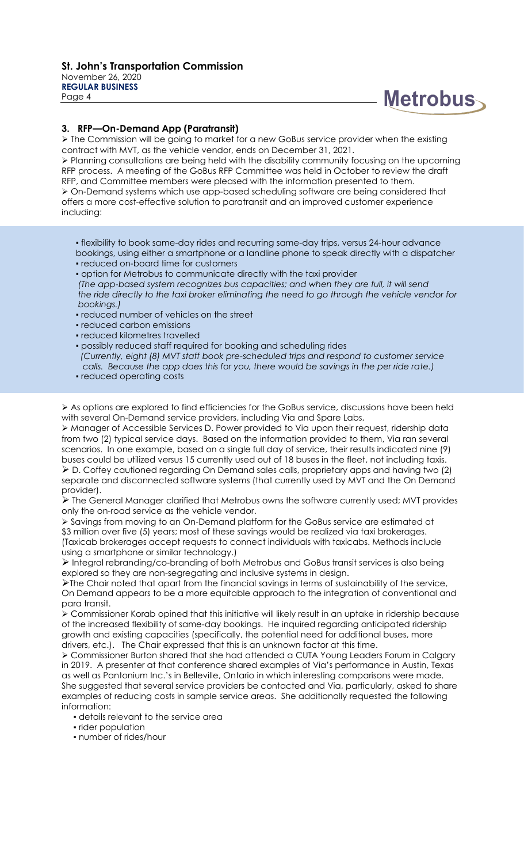#### **St. John's Transportation Commission** November 26, 2020 **REGULAR BUSINESS**

Page 4



# **3. RFP—On-Demand App (Paratransit)**

➢ The Commission will be going to market for a new GoBus service provider when the existing contract with MVT, as the vehicle vendor, ends on December 31, 2021.

➢ Planning consultations are being held with the disability community focusing on the upcoming RFP process. A meeting of the GoBus RFP Committee was held in October to review the draft RFP, and Committee members were pleased with the information presented to them. ➢ On-Demand systems which use app-based scheduling software are being considered that offers a more cost-effective solution to paratransit and an improved customer experience including:

- . flexibility to book same-day rides and recurring same-day trips, versus 24-hour advance
- bookings, using either a smartphone or a landline phone to speak directly with a dispatcher ▪ reduced on-board time for customers
- option for Metrobus to communicate directly with the taxi provider
- *(The app-based system recognizes bus capacities; and when they are full, it will send the ride directly to the taxi broker eliminating the need to go through the vehicle vendor for bookings.)*
- reduced number of vehicles on the street
- reduced carbon emissions
- reduced kilometres travelled
- possibly reduced staff required for booking and scheduling rides  *(Currently, eight (8) MVT staff book pre-scheduled trips and respond to customer service calls. Because the app does this for you, there would be savings in the per ride rate.)*
- reduced operating costs

➢ As options are explored to find efficiencies for the GoBus service, discussions have been held with several On-Demand service providers, including Via and Spare Labs,

➢ Manager of Accessible Services D. Power provided to Via upon their request, ridership data from two (2) typical service days. Based on the information provided to them, Via ran several scenarios. In one example, based on a single full day of service, their results indicated nine (9) buses could be utilized versus 15 currently used out of 18 buses in the fleet, not including taxis. ➢ D. Coffey cautioned regarding On Demand sales calls, proprietary apps and having two (2) separate and disconnected software systems (that currently used by MVT and the On Demand provider).

 $\triangleright$  The General Manager clarified that Metrobus owns the software currently used; MVT provides only the on-road service as the vehicle vendor.

➢ Savings from moving to an On-Demand platform for the GoBus service are estimated at \$3 million over five (5) years; most of these savings would be realized via taxi brokerages. (Taxicab brokerages accept requests to connect individuals with taxicabs. Methods include using a smartphone or similar technology.)

➢ Integral rebranding/co-branding of both Metrobus and GoBus transit services is also being explored so they are non-segregating and inclusive systems in design.

➢The Chair noted that apart from the financial savings in terms of sustainability of the service, On Demand appears to be a more equitable approach to the integration of conventional and para transit.

➢ Commissioner Korab opined that this initiative will likely result in an uptake in ridership because of the increased flexibility of same-day bookings. He inquired regarding anticipated ridership growth and existing capacities (specifically, the potential need for additional buses, more drivers, etc.). The Chair expressed that this is an unknown factor at this time.

➢ Commissioner Burton shared that she had attended a CUTA Young Leaders Forum in Calgary in 2019. A presenter at that conference shared examples of Via's performance in Austin, Texas as well as Pantonium Inc.'s in Belleville, Ontario in which interesting comparisons were made. She suggested that several service providers be contacted and Via, particularly, asked to share examples of reducing costs in sample service areas. She additionally requested the following information:

- details relevant to the service area
- rider population
- number of rides/hour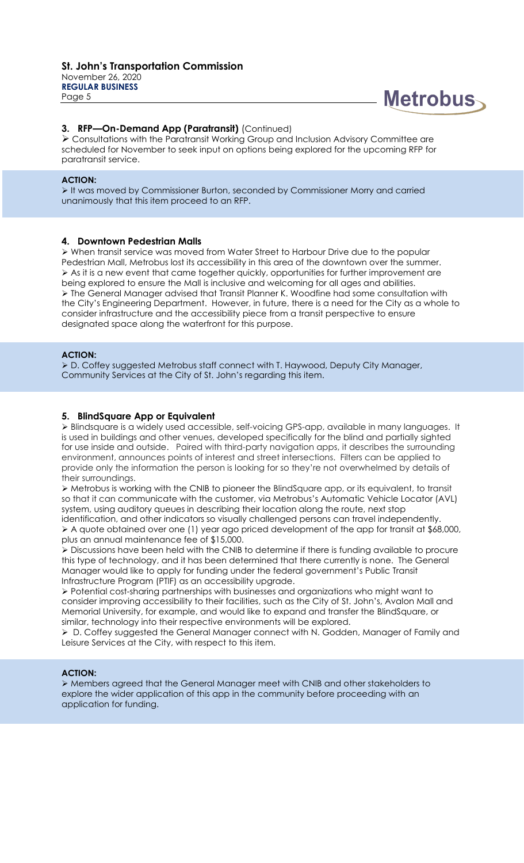**REGULAR BUSINESS** Page 5



#### **3. RFP—On-Demand App (Paratransit)** (Continued)

➢ Consultations with the Paratransit Working Group and Inclusion Advisory Committee are scheduled for November to seek input on options being explored for the upcoming RFP for paratransit service.

#### **ACTION:**

➢ It was moved by Commissioner Burton, seconded by Commissioner Morry and carried unanimously that this item proceed to an RFP.

#### **4. Downtown Pedestrian Malls**

➢ When transit service was moved from Water Street to Harbour Drive due to the popular Pedestrian Mall, Metrobus lost its accessibility in this area of the downtown over the summer. ➢ As it is a new event that came together quickly, opportunities for further improvement are being explored to ensure the Mall is inclusive and welcoming for all ages and abilities. ➢ The General Manager advised that Transit Planner K. Woodfine had some consultation with the City's Engineering Department. However, in future, there is a need for the City as a whole to consider infrastructure and the accessibility piece from a transit perspective to ensure designated space along the waterfront for this purpose.

#### **ACTION:**

➢ D. Coffey suggested Metrobus staff connect with T. Haywood, Deputy City Manager, Community Services at the City of St. John's regarding this item.

#### **5. BlindSquare App or Equivalent**

➢ Blindsquare is a widely used accessible, self-voicing GPS-app, available in many languages. It is used in buildings and other venues, developed specifically for the blind and partially sighted for use inside and outside. Paired with third-party navigation apps, it describes the surrounding environment, announces points of interest and street intersections. Filters can be applied to provide only the information the person is looking for so they're not overwhelmed by details of their surroundings.

➢ Metrobus is working with the CNIB to pioneer the BlindSquare app, or its equivalent, to transit so that it can communicate with the customer, via Metrobus's Automatic Vehicle Locator (AVL) system, using auditory queues in describing their location along the route, next stop identification, and other indicators so visually challenged persons can travel independently.

➢ A quote obtained over one (1) year ago priced development of the app for transit at \$68,000, plus an annual maintenance fee of \$15,000.

➢ Discussions have been held with the CNIB to determine if there is funding available to procure this type of technology, and it has been determined that there currently is none. The General Manager would like to apply for funding under the federal government's Public Transit Infrastructure Program (PTIF) as an accessibility upgrade.

➢ Potential cost-sharing partnerships with businesses and organizations who might want to consider improving accessibility to their facilities, such as the City of St. John's, Avalon Mall and Memorial University, for example, and would like to expand and transfer the BlindSquare, or similar, technology into their respective environments will be explored.

➢ D. Coffey suggested the General Manager connect with N. Godden, Manager of Family and Leisure Services at the City, with respect to this item.

#### **ACTION:**

➢ Members agreed that the General Manager meet with CNIB and other stakeholders to explore the wider application of this app in the community before proceeding with an application for funding.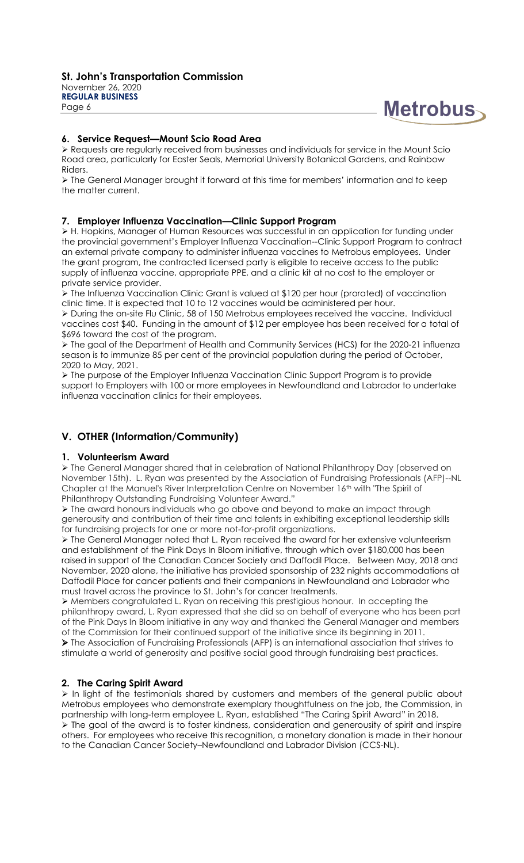**St. John's Transportation Commission** November 26, 2020 **REGULAR BUSINESS**

Page 6

# **Metrobus**

# **6. Service Request—Mount Scio Road Area**

➢ Requests are regularly received from businesses and individuals for service in the Mount Scio Road area, particularly for Easter Seals, Memorial University Botanical Gardens, and Rainbow Riders.

➢ The General Manager brought it forward at this time for members' information and to keep the matter current.

# **7. Employer Influenza Vaccination—Clinic Support Program**

➢ H. Hopkins, Manager of Human Resources was successful in an application for funding under the provincial government's Employer Influenza Vaccination--Clinic Support Program to contract an external private company to administer influenza vaccines to Metrobus employees. Under the grant program, the contracted licensed party is eligible to receive access to the public supply of influenza vaccine, appropriate PPE, and a clinic kit at no cost to the employer or private service provider.

➢ The Influenza Vaccination Clinic Grant is valued at \$120 per hour (prorated) of vaccination clinic time. It is expected that 10 to 12 vaccines would be administered per hour.

➢ During the on-site Flu Clinic, 58 of 150 Metrobus employees received the vaccine. Individual vaccines cost \$40. Funding in the amount of \$12 per employee has been received for a total of \$696 toward the cost of the program.

➢ The goal of the Department of Health and Community Services (HCS) for the 2020-21 influenza season is to immunize 85 per cent of the provincial population during the period of October, 2020 to May, 2021.

➢ The purpose of the Employer Influenza Vaccination Clinic Support Program is to provide support to Employers with 100 or more employees in Newfoundland and Labrador to undertake influenza vaccination clinics for their employees.

# **V. OTHER (Information/Community)**

# **1. Volunteerism Award**

➢ The General Manager shared that in celebration of National Philanthropy Day (observed on November 15th). L. Ryan was presented by the Association of Fundraising Professionals (AFP)--NL Chapter at the Manuel's River Interpretation Centre on November 16<sup>th</sup> with "The Spirit of Philanthropy Outstanding Fundraising Volunteer Award."

➢ The award honours individuals who go above and beyond to make an impact through generousity and contribution of their time and talents in exhibiting exceptional leadership skills for fundraising projects for one or more not-for-profit organizations.

➢ The General Manager noted that L. Ryan received the award for her extensive volunteerism and establishment of the Pink Days In Bloom initiative, through which over \$180,000 has been raised in support of the Canadian Cancer Society and Daffodil Place. Between May, 2018 and November, 2020 alone, the initiative has provided sponsorship of 232 nights accommodations at Daffodil Place for cancer patients and their companions in Newfoundland and Labrador who must travel across the province to St. John's for cancer treatments.

➢ Members congratulated L. Ryan on receiving this prestigious honour. In accepting the philanthropy award, L. Ryan expressed that she did so on behalf of everyone who has been part of the Pink Days In Bloom initiative in any way and thanked the General Manager and members of the Commission for their continued support of the initiative since its beginning in 2011. ➢ The Association of Fundraising Professionals (AFP) is an international association that strives to stimulate a world of generosity and positive social good through fundraising best practices.

# **2. The Caring Spirit Award**

➢ In light of the testimonials shared by customers and members of the general public about Metrobus employees who demonstrate exemplary thoughtfulness on the job, the Commission, in partnership with long-term employee L. Ryan, established "The Caring Spirit Award" in 2018.  $\triangleright$  The goal of the award is to foster kindness, consideration and generousity of spirit and inspire others. For employees who receive this recognition, a monetary donation is made in their honour to the Canadian Cancer Society–Newfoundland and Labrador Division (CCS-NL).